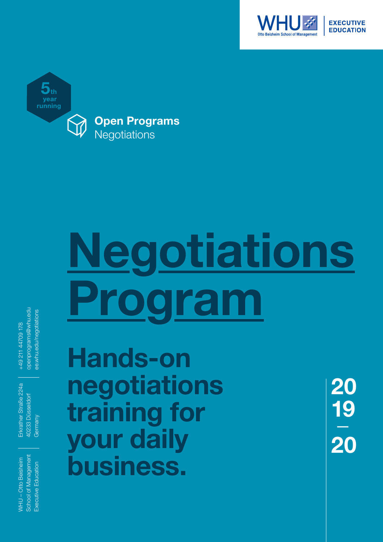



# **Negotiations Program**

openprograms@whu.edu openprograms@whu.edu e.whu.edu/negotiations ee.whu.edu/negotiations +49 211 44709 178 +49 211 44709 178

Erkrather Straße 224a Erkrather Straße 224a 40233 Düsseldorf 40233 Düsseldorf Germany

**Hands-on negotiations training for your daily business.**

School of Management School of Management **NHU-Otto Beisheim** WHU – Otto Beisheim Executive Education Executive Education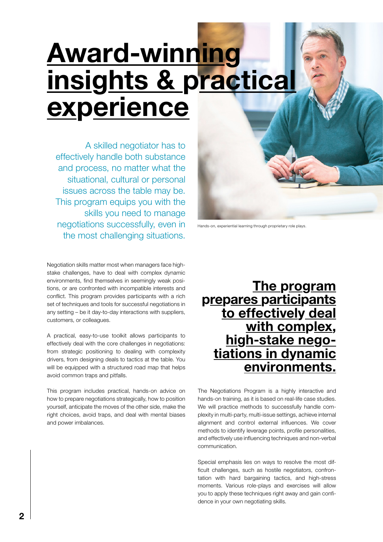# **Award-winning insights & practical experience**

A skilled negotiator has to effectively handle both substance and process, no matter what the situational, cultural or personal issues across the table may be. This program equips you with the skills you need to manage negotiations successfully, even in the most challenging situations.

Negotiation skills matter most when managers face highstake challenges, have to deal with complex dynamic environments, find themselves in seemingly weak positions, or are confronted with incompatible interests and conflict. This program provides participants with a rich set of techniques and tools for successful negotiations in any setting – be it day-to-day interactions with suppliers, customers, or colleagues.

A practical, easy-to-use toolkit allows participants to effectively deal with the core challenges in negotiations: from strategic positioning to dealing with complexity drivers, from designing deals to tactics at the table. You will be equipped with a structured road map that helps avoid common traps and pitfalls.

This program includes practical, hands-on advice on how to prepare negotiations strategically, how to position yourself, anticipate the moves of the other side, make the right choices, avoid traps, and deal with mental biases and power imbalances.



Hands-on, experiential learning through proprietary role plays.

The Negotiations Program is a highly interactive and hands-on training, as it is based on real-life case studies. We will practice methods to successfully handle complexity in multi-party, multi-issue settings, achieve internal alignment and control external influences. We cover methods to identify leverage points, profile personalities, and effectively use influencing techniques and non-verbal communication.

Special emphasis lies on ways to resolve the most difficult challenges, such as hostile negotiators, confrontation with hard bargaining tactics, and high-stress moments. Various role-plays and exercises will allow you to apply these techniques right away and gain confidence in your own negotiating skills.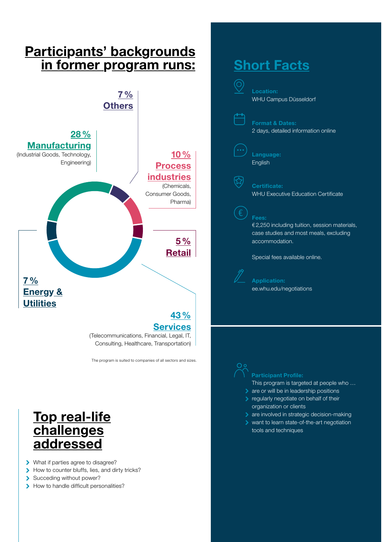### **Participants' backgrounds in former program runs:**



The program is suited to companies of all sectors and sizes.

#### **Top real-life challenges addressed**

- What if parties agree to disagree?
- How to counter bluffs, lies, and dirty tricks?
- Succeding without power?
- > How to handle difficult personalities?

#### **Short Facts**

(O)



**Format & Dates:** 2 days, detailed information online

**Language:** English

#### **Certificate:**

WHU Executive Education Certificate

#### **Fees:**

€2,250 including tuition, session materials, case studies and most meals, excluding accommodation.

Special fees available online.



**Application:** ee.whu.edu/negotiations

This program is targeted at people who …

- are or will be in leadership positions
- **>** regularly negotiate on behalf of their organization or clients
- **are involved in strategic decision-making**
- want to learn state-of-the-art negotiation tools and techniques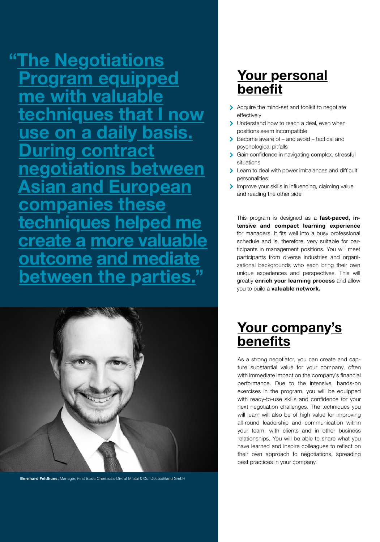**"The Negotiations Program equipped me with valuable techniques that I now use on a daily basis. During contract negotiations between Asian and European companies these techniques helped me create a more valuable outcome and mediate between the parties.** 



**Bernhard Feldhues,** Manager, First Basic Chemicals Div. at Mitsui & Co. Deutschland GmbH

### **Your personal benefit**

- Acquire the mind-set and toolkit to negotiate effectively
- Understand how to reach a deal, even when  $\overline{\mathbf{r}}$ positions seem incompatible
- Become aware of and avoid tactical and psychological pitfalls
- > Gain confidence in navigating complex, stressful situations
- **Example 2** Learn to deal with power imbalances and difficult personalities
- Improve your skills in influencing, claiming value and reading the other side

This program is designed as a **fast-paced, intensive and compact learning experience** for managers. It fits well into a busy professional schedule and is, therefore, very suitable for participants in management positions. You will meet participants from diverse industries and organizational backgrounds who each bring their own unique experiences and perspectives. This will greatly **enrich your learning process** and allow you to build a **valuable network.**

#### **Your company's benefits**

As a strong negotiator, you can create and capture substantial value for your company, often with immediate impact on the company's financial performance. Due to the intensive, hands-on exercises in the program, you will be equipped with ready-to-use skills and confidence for your next negotiation challenges. The techniques you will learn will also be of high value for improving all-round leadership and communication within your team, with clients and in other business relationships. You will be able to share what you have learned and inspire colleagues to reflect on their own approach to negotiations, spreading best practices in your company.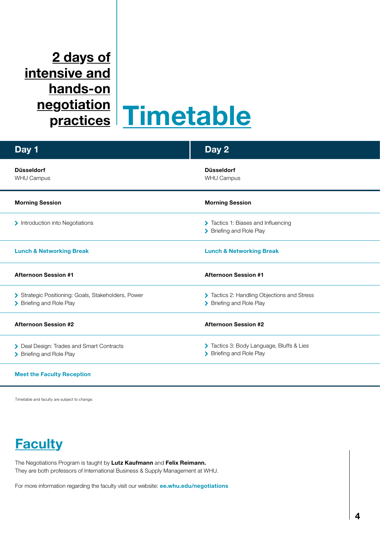## **2 days of intensive and hands-on**

# **negotiation practices Timetable**

| Day 1                                                                           | Day 2                                                                   |
|---------------------------------------------------------------------------------|-------------------------------------------------------------------------|
| <b>Düsseldorf</b><br><b>WHU Campus</b>                                          | <b>Düsseldorf</b><br><b>WHU Campus</b>                                  |
| <b>Morning Session</b>                                                          | <b>Morning Session</b>                                                  |
| > Introduction into Negotiations                                                | > Tactics 1: Biases and Influencing<br>> Briefing and Role Play         |
| <b>Lunch &amp; Networking Break</b>                                             | <b>Lunch &amp; Networking Break</b>                                     |
| <b>Afternoon Session #1</b>                                                     | <b>Afternoon Session #1</b>                                             |
| > Strategic Positioning: Goals, Stakeholders, Power<br>> Briefing and Role Play | > Tactics 2: Handling Objections and Stress<br>> Briefing and Role Play |
| <b>Afternoon Session #2</b>                                                     | <b>Afternoon Session #2</b>                                             |
| > Deal Design: Trades and Smart Contracts<br>> Briefing and Role Play           | > Tactics 3: Body Language, Bluffs & Lies<br>> Briefing and Role Play   |
|                                                                                 |                                                                         |

#### **Meet the Faculty Reception**

Timetable and faculty are subject to change.

### **Faculty**

The Negotiations Program is taught by **Lutz Kaufmann** and **Felix Reimann.** They are both professors of International Business & Supply Management at WHU.

For more information regarding the faculty visit our website: **ee.whu.edu/negotiations**